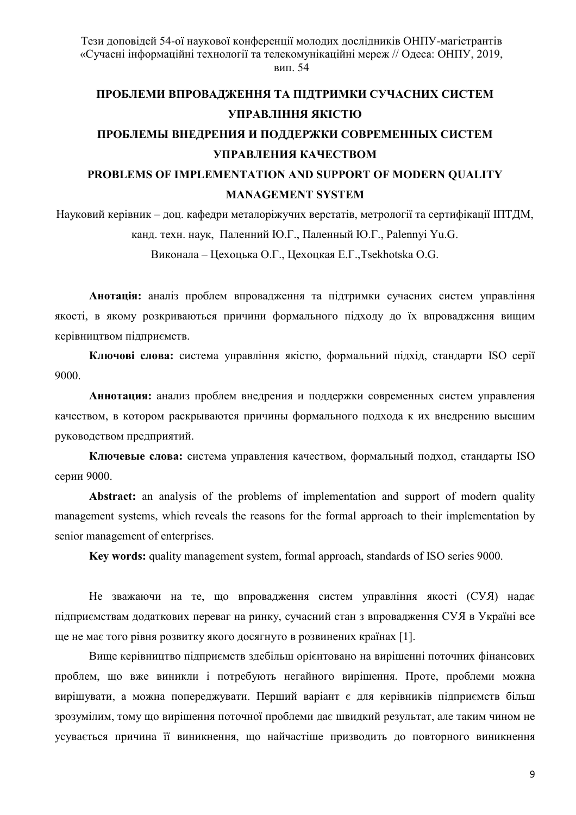# ПРОБЛЕМИ ВПРОВАДЖЕННЯ ТА ПІДТРИМКИ СУЧАСНИХ СИСТЕМ УПРАВЛІННЯ ЯКІСТЮ ПРОБЛЕМЫ ВНЕЛРЕНИЯ И ПОЛЛЕРЖКИ СОВРЕМЕННЫХ СИСТЕМ УПРАВЛЕНИЯ КАЧЕСТВОМ

## PROBLEMS OF IMPLEMENTATION AND SUPPORT OF MODERN QUALITY **MANAGEMENT SYSTEM**

Науковий керівник – доц. кафедри металоріжучих верстатів, метрології та сертифікації ШТДМ, канд. техн. наук, Паленний Ю.Г., Паленный Ю.Г., Palennyi Yu.G.

Виконала - Цехоцька О.Г., Цехоцкая Е.Г., Tsekhotska O.G.

Анотація: аналіз проблем впровадження та підтримки сучасних систем управління якості, в якому розкриваються причини формального підходу до їх впровадження вищим керівництвом підприємств.

Ключові слова: система управління якістю, формальний пілхіл, станларти ISO серії 9000.

Аннотация: анализ проблем внедрения и поддержки современных систем управления качеством, в котором раскрываются причины формального подхода к их внедрению высшим руководством предприятий.

Ключевые слова: система управления качеством, формальный подход, стандарты ISO серии 9000.

**Abstract:** an analysis of the problems of implementation and support of modern quality management systems, which reveals the reasons for the formal approach to their implementation by senior management of enterprises.

Key words: quality management system, formal approach, standards of ISO series 9000.

Не зважаючи на те, що впровадження систем управління якості (СУЯ) надає підприємствам додаткових переваг на ринку, сучасний стан з впровадження СУЯ в Україні все ще не має того рівня розвитку якого досягнуто в розвинених країнах [1].

Вище керівництво підприємств здебільш орієнтовано на вирішенні поточних фінансових проблем, що вже виникли і потребують негайного вирішення. Проте, проблеми можна вирішувати, а можна попереджувати. Перший варіант є для керівників підприємств більш зрозумілим, тому що вирішення поточної проблеми дає швидкий результат, але таким чином не усувається причина її виникнення, що найчастіше призводить до повторного виникнення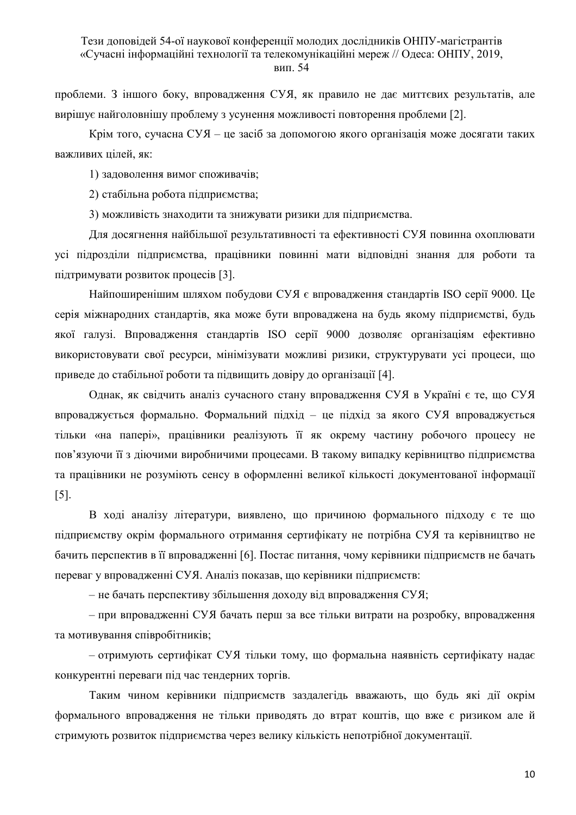проблеми. З іншого боку, впровадження СУЯ, як правило не дає миттєвих результатів, але вирішує найголовнішу проблему з усунення можливості повторення проблеми [2].

Крім того, сучасна СУЯ - це засіб за допомогою якого організація може досягати таких важливих цілей, як:

1) задоволення вимог споживачів;

2) стабільна робота підприємства;

3) можливість знаходити та знижувати ризики для підприємства.

Для досягнення найбільшої результативності та ефективності СУЯ повинна охоплювати усі підрозділи підприємства, працівники повинні мати відповідні знання для роботи та пілтримувати розвиток процесів [3].

Найпоширенішим шляхом побудови СУЯ є впровадження стандартів ISO серії 9000. Це серія міжнародних стандартів, яка може бути впроваджена на будь якому підприємстві, будь якої галузі. Впровадження стандартів ISO серії 9000 дозволяє організаціям ефективно використовувати свої ресурси, мінімізувати можливі ризики, структурувати усі процеси, що приведе до стабільної роботи та підвищить довіру до організації [4].

Однак, як свідчить аналіз сучасного стану впровадження СУЯ в Україні є те, що СУЯ впроваджується формально. Формальний підхід - це підхід за якого СУЯ впроваджується тільки «на папері», працівники реалізують її як окрему частину робочого процесу не пов'язуючи її з діючими виробничими процесами. В такому випадку керівництво підприємства та працівники не розуміють сенсу в оформленні великої кількості документованої інформації  $\lceil 5 \rceil$ .

В ході аналізу літератури, виявлено, що причиною формального підходу є те що підприємству окрім формального отримання сертифікату не потрібна СУЯ та керівництво не бачить перспектив в її впровадженні [6]. Постає питання, чому керівники підприємств не бачать переваг у впровадженні СУЯ. Аналіз показав, що керівники підприємств:

- не бачать перспективу збільшення доходу від впровадження СУЯ;

- при впровадженні СУЯ бачать перш за все тільки витрати на розробку, впровадження та мотивування співробітників;

– отримують сертифікат СУЯ тільки тому, що формальна наявність сертифікату надає конкурентні переваги під час тендерних торгів.

Таким чином керівники підприємств заздалегідь вважають, що будь які дії окрім формального впровадження не тільки приводять до втрат коштів, що вже є ризиком але й стримують розвиток підприємства через велику кількість непотрібної документації.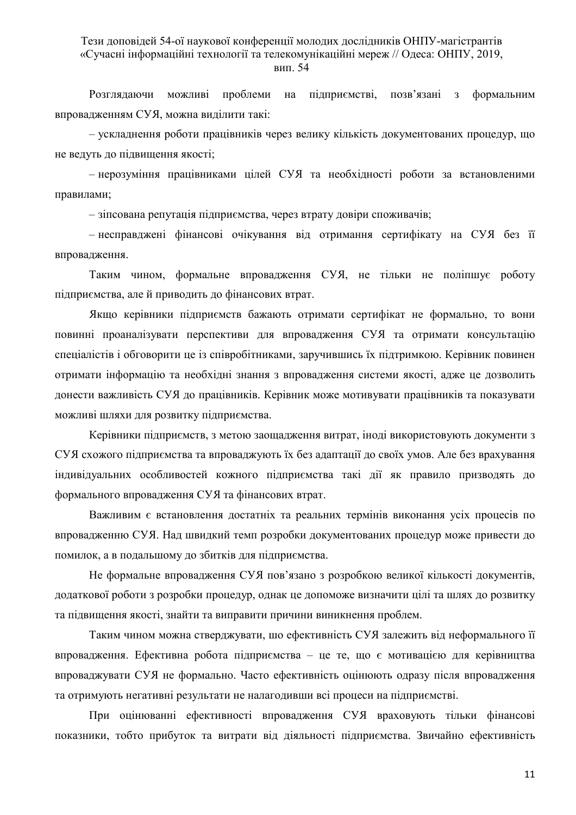підприємстві, позв'язані з Розглядаючи можливі проблеми на формальним впровадженням СУЯ, можна виділити такі:

- ускладнення роботи працівників через велику кількість документованих процедур, що не ведуть до підвищення якості;

- нерозуміння працівниками цілей СУЯ та необхідності роботи за встановленими правилами;

- зіпсована репутація підприємства, через втрату довіри споживачів;

- несправджені фінансові очікування від отримання сертифікату на СУЯ без її впровадження.

Таким чином, формальне впровадження СУЯ, не тільки не поліпшує роботу підприємства, але й приводить до фінансових втрат.

Якщо керівники підприємств бажають отримати сертифікат не формально, то вони повинні проаналізувати перспективи для впровадження СУЯ та отримати консультацію спеціалістів і обговорити це із співробітниками, заручившись їх підтримкою. Керівник повинен отримати інформацію та необхідні знання з впровадження системи якості, адже це дозволить донести важливість СУЯ до працівників. Керівник може мотивувати працівників та показувати можливі шляхи для розвитку підприємства.

Керівники підприємств, з метою заощадження витрат, іноді використовують документи з СУЯ схожого підприємства та впроваджують їх без адаптації до своїх умов. Але без врахування індивідуальних особливостей кожного підприємства такі дії як правило призводять до формального впровадження СУЯ та фінансових втрат.

Важливим є встановлення достатніх та реальних термінів виконання усіх процесів по впровадженню СУЯ. Над швидкий темп розробки документованих процедур може привести до помилок, а в подальшому до збитків для підприємства.

Не формальне впровадження СУЯ пов'язано з розробкою великої кількості документів, додаткової роботи з розробки процедур, однак це допоможе визначити цілі та шлях до розвитку та підвищення якості, знайти та виправити причини виникнення проблем.

Таким чином можна стверджувати, шо ефективність СУЯ залежить від неформального її впровадження. Ефективна робота підприємства - це те, що є мотивацією для керівництва впроваджувати СУЯ не формально. Часто ефективність оцінюють одразу після впровадження та отримують негативні результати не налагодивши всі процеси на підприємстві.

При оцінюванні ефективності впровадження СУЯ враховують тільки фінансові показники, тобто прибуток та витрати від діяльності підприємства. Звичайно ефективність

11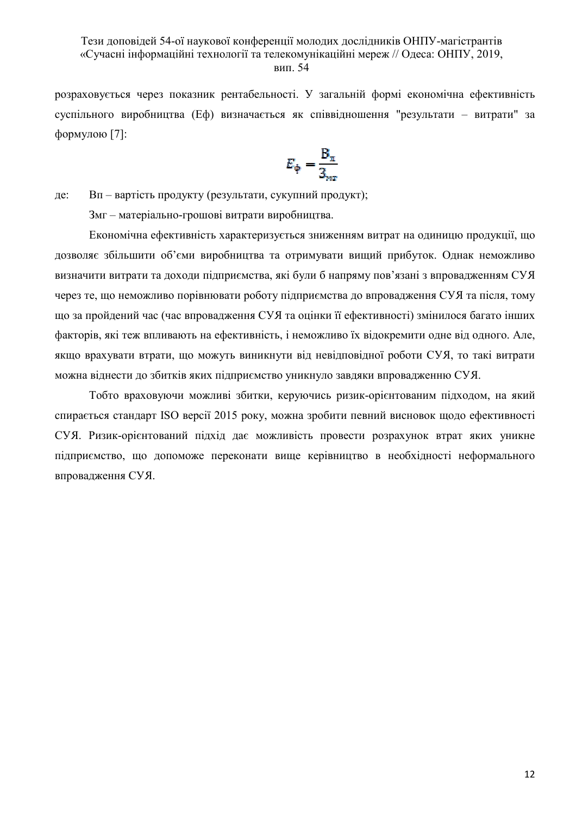розраховується через показник рентабельності. У загальній формі економічна ефективність суспільного виробництва (Еф) визначається як співвідношення "результати - витрати" за формулою [7]:

$$
\mathcal{E}_{\varphi} = \frac{B_{\pi}}{3_{\text{mt}}}
$$

Вп - вартість продукту (результати, сукупний продукт); де:

Змг - матеріально-грошові витрати виробництва.

Економічна ефективність характеризується зниженням витрат на одиницю продукції, що дозволяє збільшити об'єми виробництва та отримувати вищий прибуток. Однак неможливо визначити витрати та доходи підприємства, які були б напряму пов'язані з впровадженням СУЯ через те, що неможливо порівнювати роботу підприємства до впровадження СУЯ та після, тому що за пройдений час (час впровадження СУЯ та оцінки її ефективності) змінилося багато інших факторів, які теж впливають на ефективність, і неможливо їх відокремити одне від одного. Але, якщо врахувати втрати, що можуть виникнути від невідповідної роботи СУЯ, то такі витрати можна віднести до збитків яких підприємство уникнуло завдяки впровадженню СУЯ.

Тобто враховуючи можливі збитки, керуючись ризик-орієнтованим підходом, на який спирається стандарт ISO версії 2015 року, можна зробити певний висновок щодо ефективності СУЯ. Ризик-орієнтований підхід дає можливість провести розрахунок втрат яких уникне підприємство, що допоможе переконати вище керівництво в необхідності неформального впровалження СУЯ.